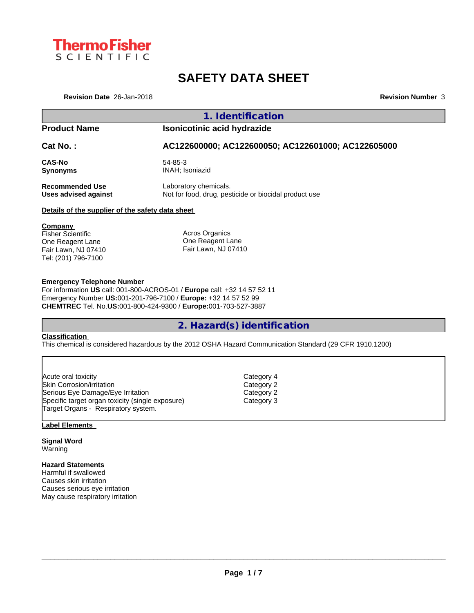

# **SAFETY DATA SHEET**

**Revision Date** 26-Jan-2018 **Revision Number** 3

# **1. Identification**

## **Product Name Isonicotinic acid hydrazide**

**Cat No. : AC122600000; AC122600050; AC122601000; AC122605000**

**CAS-No** 54-85-3 **Synonyms** INAH; Isoniazid

**Recommended Use** Laboratory chemicals.

**Uses advised against** Not for food, drug, pesticide or biocidal product use

## **Details of the supplier of the safety data sheet**

**Company**  Fisher Scientific One Reagent Lane Fair Lawn, NJ 07410 Tel: (201) 796-7100

Acros Organics One Reagent Lane Fair Lawn, NJ 07410

## **Emergency Telephone Number**

For information **US** call: 001-800-ACROS-01 / **Europe** call: +32 14 57 52 11 Emergency Number **US:**001-201-796-7100 / **Europe:** +32 14 57 52 99 **CHEMTREC** Tel. No.**US:**001-800-424-9300 / **Europe:**001-703-527-3887

## **2. Hazard(s) identification**

## **Classification**

This chemical is considered hazardous by the 2012 OSHA Hazard Communication Standard (29 CFR 1910.1200)

| Acute oral toxicity                              | Category 4 |  |
|--------------------------------------------------|------------|--|
| Skin Corrosion/irritation                        | Category 2 |  |
| Serious Eye Damage/Eye Irritation                | Category 2 |  |
| Specific target organ toxicity (single exposure) | Category 3 |  |
| Target Organs - Respiratory system.              |            |  |

## **Label Elements**

**Signal Word** Warning

## **Hazard Statements**

Harmful if swallowed Causes skin irritation Causes serious eye irritation May cause respiratory irritation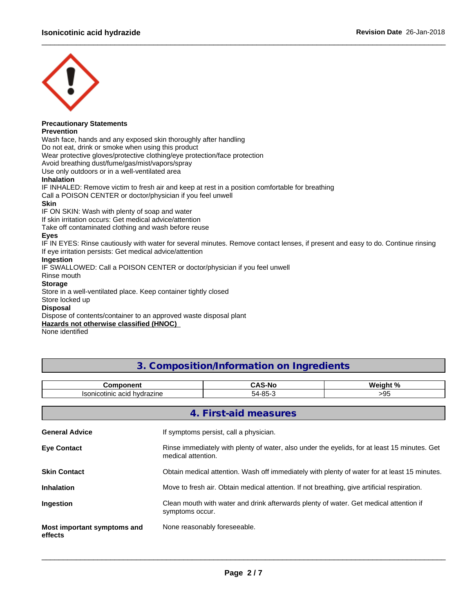

# **Precautionary Statements**

**Prevention**

Wash face, hands and any exposed skin thoroughly after handling

Do not eat, drink or smoke when using this product

Wear protective gloves/protective clothing/eye protection/face protection

Avoid breathing dust/fume/gas/mist/vapors/spray

Use only outdoors or in a well-ventilated area

## **Inhalation**

IF INHALED: Remove victim to fresh air and keep at rest in a position comfortable for breathing Call a POISON CENTER or doctor/physician if you feel unwell

## **Skin**

IF ON SKIN: Wash with plenty of soap and water

If skin irritation occurs: Get medical advice/attention

Take off contaminated clothing and wash before reuse

## **Eyes**

IF IN EYES: Rinse cautiously with water for several minutes. Remove contact lenses, if present and easy to do. Continue rinsing If eye irritation persists: Get medical advice/attention

 $\_$  ,  $\_$  ,  $\_$  ,  $\_$  ,  $\_$  ,  $\_$  ,  $\_$  ,  $\_$  ,  $\_$  ,  $\_$  ,  $\_$  ,  $\_$  ,  $\_$  ,  $\_$  ,  $\_$  ,  $\_$  ,  $\_$  ,  $\_$  ,  $\_$  ,  $\_$  ,  $\_$  ,  $\_$  ,  $\_$  ,  $\_$  ,  $\_$  ,  $\_$  ,  $\_$  ,  $\_$  ,  $\_$  ,  $\_$  ,  $\_$  ,  $\_$  ,  $\_$  ,  $\_$  ,  $\_$  ,  $\_$  ,  $\_$  ,

## **Ingestion**

IF SWALLOWED: Call a POISON CENTER or doctor/physician if you feel unwell

Rinse mouth

## **Storage**

Store in a well-ventilated place. Keep container tightly closed Store locked up

## **Disposal**

Dispose of contents/container to an approved waste disposal plant

## **Hazards not otherwise classified (HNOC)**

None identified

## **3. Composition/Information on Ingredients**

| ananant<br>.∩m                                                  | . .<br>"Nr<br>. .    |       |
|-----------------------------------------------------------------|----------------------|-------|
| hvdra.<br>lo o r<br>acid<br>zine<br>otinic<br>.ov<br>$\cdot$ az | $\sim$<br>.,<br>571- | - J J |

| 4. First-aid measures                                                                                              |  |  |  |  |  |
|--------------------------------------------------------------------------------------------------------------------|--|--|--|--|--|
| If symptoms persist, call a physician.                                                                             |  |  |  |  |  |
| Rinse immediately with plenty of water, also under the eyelids, for at least 15 minutes. Get<br>medical attention. |  |  |  |  |  |
| Obtain medical attention. Wash off immediately with plenty of water for at least 15 minutes.                       |  |  |  |  |  |
| Move to fresh air. Obtain medical attention. If not breathing, give artificial respiration.                        |  |  |  |  |  |
| Clean mouth with water and drink afterwards plenty of water. Get medical attention if<br>symptoms occur.           |  |  |  |  |  |
| None reasonably foreseeable.                                                                                       |  |  |  |  |  |
|                                                                                                                    |  |  |  |  |  |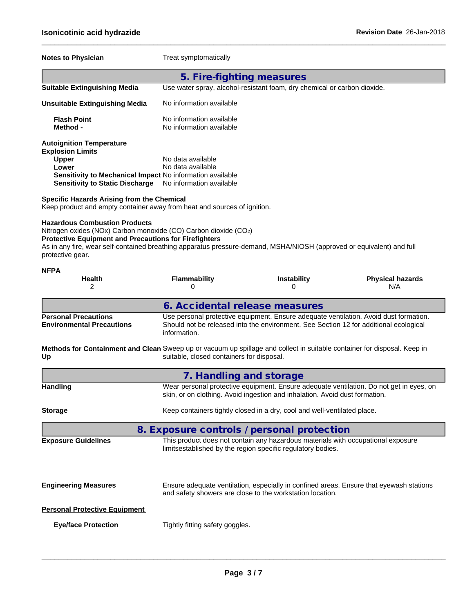## **Notes to Physician** Treat symptomatically **5. Fire-fighting measures Suitable Extinguishing Media** Use water spray, alcohol-resistant foam, dry chemical or carbon dioxide. **Unsuitable Extinguishing Media** No information available **Flash Point**<br> **Method** - **Method** - **Method** - **Method** - **Method** - **Method** - **Method** - **Method No information available Autoignition Temperature Explosion Limits Upper** No data available **Lower** No data available **Sensitivity to Mechanical Impact** No information available **Sensitivity to Static Discharge** No information available

 $\_$  ,  $\_$  ,  $\_$  ,  $\_$  ,  $\_$  ,  $\_$  ,  $\_$  ,  $\_$  ,  $\_$  ,  $\_$  ,  $\_$  ,  $\_$  ,  $\_$  ,  $\_$  ,  $\_$  ,  $\_$  ,  $\_$  ,  $\_$  ,  $\_$  ,  $\_$  ,  $\_$  ,  $\_$  ,  $\_$  ,  $\_$  ,  $\_$  ,  $\_$  ,  $\_$  ,  $\_$  ,  $\_$  ,  $\_$  ,  $\_$  ,  $\_$  ,  $\_$  ,  $\_$  ,  $\_$  ,  $\_$  ,  $\_$  ,

**Specific Hazards Arising from the Chemical** Keep product and empty container away from heat and sources of ignition.

## **Hazardous Combustion Products**

Nitrogen oxides (NOx) Carbon monoxide (CO) Carbon dioxide (CO2) **Protective Equipment and Precautions for Firefighters** As in any fire, wear self-contained breathing apparatus pressure-demand, MSHA/NIOSH (approved or equivalent) and full protective gear.

| <b>NFPA</b><br><b>Health</b>                                                                                                   | <b>Flammability</b>                                                                                                                                                    | <b>Instability</b>                                                                                                                                                             | <b>Physical hazards</b>                                                                 |  |  |  |  |
|--------------------------------------------------------------------------------------------------------------------------------|------------------------------------------------------------------------------------------------------------------------------------------------------------------------|--------------------------------------------------------------------------------------------------------------------------------------------------------------------------------|-----------------------------------------------------------------------------------------|--|--|--|--|
| 2                                                                                                                              | 0                                                                                                                                                                      | 0                                                                                                                                                                              | N/A                                                                                     |  |  |  |  |
|                                                                                                                                | 6. Accidental release measures                                                                                                                                         |                                                                                                                                                                                |                                                                                         |  |  |  |  |
| <b>Personal Precautions</b><br><b>Environmental Precautions</b>                                                                | information.                                                                                                                                                           | Use personal protective equipment. Ensure adequate ventilation. Avoid dust formation.<br>Should not be released into the environment. See Section 12 for additional ecological |                                                                                         |  |  |  |  |
| Methods for Containment and Clean Sweep up or vacuum up spillage and collect in suitable container for disposal. Keep in<br>Up | suitable, closed containers for disposal.                                                                                                                              |                                                                                                                                                                                |                                                                                         |  |  |  |  |
|                                                                                                                                | 7. Handling and storage                                                                                                                                                |                                                                                                                                                                                |                                                                                         |  |  |  |  |
| <b>Handling</b>                                                                                                                | Wear personal protective equipment. Ensure adequate ventilation. Do not get in eyes, on<br>skin, or on clothing. Avoid ingestion and inhalation. Avoid dust formation. |                                                                                                                                                                                |                                                                                         |  |  |  |  |
| <b>Storage</b>                                                                                                                 |                                                                                                                                                                        | Keep containers tightly closed in a dry, cool and well-ventilated place.                                                                                                       |                                                                                         |  |  |  |  |
|                                                                                                                                | 8. Exposure controls / personal protection                                                                                                                             |                                                                                                                                                                                |                                                                                         |  |  |  |  |
| <b>Exposure Guidelines</b>                                                                                                     |                                                                                                                                                                        | This product does not contain any hazardous materials with occupational exposure<br>limitsestablished by the region specific regulatory bodies.                                |                                                                                         |  |  |  |  |
| <b>Engineering Measures</b>                                                                                                    |                                                                                                                                                                        | and safety showers are close to the workstation location.                                                                                                                      | Ensure adequate ventilation, especially in confined areas. Ensure that eyewash stations |  |  |  |  |
| <b>Personal Protective Equipment</b>                                                                                           |                                                                                                                                                                        |                                                                                                                                                                                |                                                                                         |  |  |  |  |
| <b>Eye/face Protection</b>                                                                                                     | Tightly fitting safety goggles.                                                                                                                                        |                                                                                                                                                                                |                                                                                         |  |  |  |  |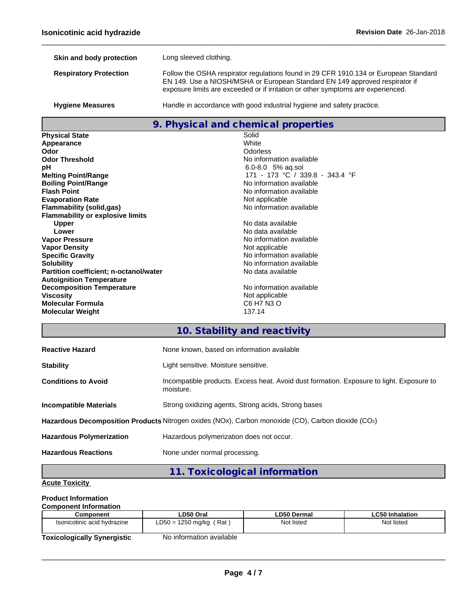| Skin and body protection      | Long sleeved clothing.                                                                                                                                                                                                                                  |
|-------------------------------|---------------------------------------------------------------------------------------------------------------------------------------------------------------------------------------------------------------------------------------------------------|
| <b>Respiratory Protection</b> | Follow the OSHA respirator regulations found in 29 CFR 1910.134 or European Standard<br>EN 149. Use a NIOSH/MSHA or European Standard EN 149 approved respirator if<br>exposure limits are exceeded or if irritation or other symptoms are experienced. |
| <b>Hygiene Measures</b>       | Handle in accordance with good industrial hygiene and safety practice.                                                                                                                                                                                  |

 $\_$  ,  $\_$  ,  $\_$  ,  $\_$  ,  $\_$  ,  $\_$  ,  $\_$  ,  $\_$  ,  $\_$  ,  $\_$  ,  $\_$  ,  $\_$  ,  $\_$  ,  $\_$  ,  $\_$  ,  $\_$  ,  $\_$  ,  $\_$  ,  $\_$  ,  $\_$  ,  $\_$  ,  $\_$  ,  $\_$  ,  $\_$  ,  $\_$  ,  $\_$  ,  $\_$  ,  $\_$  ,  $\_$  ,  $\_$  ,  $\_$  ,  $\_$  ,  $\_$  ,  $\_$  ,  $\_$  ,  $\_$  ,  $\_$  ,

## **9. Physical and chemical properties**

| <b>Physical State</b>                   | Solid                           |
|-----------------------------------------|---------------------------------|
| Appearance                              | White                           |
| Odor                                    | Odorless                        |
| <b>Odor Threshold</b>                   | No information available        |
| рH                                      | $6.0 - 8.0$ 5% ag.sol           |
| <b>Melting Point/Range</b>              | 171 - 173 °C / 339.8 - 343.4 °F |
| <b>Boiling Point/Range</b>              | No information available        |
| <b>Flash Point</b>                      | No information available        |
| <b>Evaporation Rate</b>                 | Not applicable                  |
| Flammability (solid,gas)                | No information available        |
| <b>Flammability or explosive limits</b> |                                 |
| <b>Upper</b>                            | No data available               |
| Lower                                   | No data available               |
| <b>Vapor Pressure</b>                   | No information available        |
| <b>Vapor Density</b>                    | Not applicable                  |
| <b>Specific Gravity</b>                 | No information available        |
| <b>Solubility</b>                       | No information available        |
| Partition coefficient; n-octanol/water  | No data available               |
| <b>Autoignition Temperature</b>         |                                 |
| <b>Decomposition Temperature</b>        | No information available        |
| <b>Viscosity</b>                        | Not applicable                  |
| Molecular Formula                       | C6 H7 N3 O                      |
| <b>Molecular Weight</b>                 | 137.14                          |
|                                         |                                 |

# **10. Stability and reactivity**

| <b>Reactive Hazard</b>                                                                             | None known, based on information available                                                            |  |  |  |  |
|----------------------------------------------------------------------------------------------------|-------------------------------------------------------------------------------------------------------|--|--|--|--|
| <b>Stability</b>                                                                                   | Light sensitive. Moisture sensitive.                                                                  |  |  |  |  |
| <b>Conditions to Avoid</b>                                                                         | Incompatible products. Excess heat. Avoid dust formation. Exposure to light. Exposure to<br>moisture. |  |  |  |  |
| <b>Incompatible Materials</b>                                                                      | Strong oxidizing agents, Strong acids, Strong bases                                                   |  |  |  |  |
| Hazardous Decomposition Products Nitrogen oxides (NOx), Carbon monoxide (CO), Carbon dioxide (CO2) |                                                                                                       |  |  |  |  |
| <b>Hazardous Polymerization</b>                                                                    | Hazardous polymerization does not occur.                                                              |  |  |  |  |
| <b>Hazardous Reactions</b>                                                                         | None under normal processing.                                                                         |  |  |  |  |
|                                                                                                    |                                                                                                       |  |  |  |  |

**11. Toxicological information**

## **Acute Toxicity**

## **Product Information**

| <b>Component Information</b>                                |                                           |             |                 |  |  |  |  |  |  |
|-------------------------------------------------------------|-------------------------------------------|-------------|-----------------|--|--|--|--|--|--|
| Component                                                   | LD50 Oral                                 | LD50 Dermal | ∟C50 Inhalation |  |  |  |  |  |  |
| (Rat,<br>$LD50 = 1250$ mg/kg<br>Isonicotinic acid hydrazine |                                           | Not listed  | Not listed      |  |  |  |  |  |  |
| The collection of a within Organization of the              | الملطول ويتماسم والمستور والمستردع والملا |             |                 |  |  |  |  |  |  |

**Toxicologically Synergistic** No information available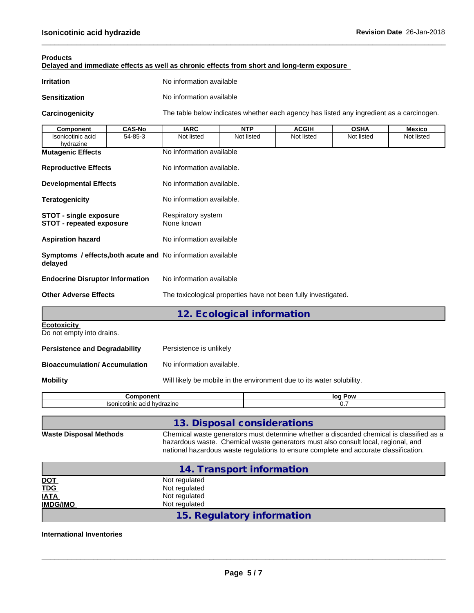**Products**

| <b>Irritation</b>                                                      |                                                                       | No information available                                                                 |                                                                                                                                                                               |              |             |               |  |  |  |  |  |  |
|------------------------------------------------------------------------|-----------------------------------------------------------------------|------------------------------------------------------------------------------------------|-------------------------------------------------------------------------------------------------------------------------------------------------------------------------------|--------------|-------------|---------------|--|--|--|--|--|--|
| <b>Sensitization</b>                                                   |                                                                       | No information available                                                                 |                                                                                                                                                                               |              |             |               |  |  |  |  |  |  |
| Carcinogenicity                                                        |                                                                       | The table below indicates whether each agency has listed any ingredient as a carcinogen. |                                                                                                                                                                               |              |             |               |  |  |  |  |  |  |
| Component                                                              | <b>CAS-No</b>                                                         | <b>IARC</b>                                                                              | <b>NTP</b>                                                                                                                                                                    | <b>ACGIH</b> | <b>OSHA</b> | <b>Mexico</b> |  |  |  |  |  |  |
| Isonicotinic acid<br>hydrazine                                         | 54-85-3                                                               | Not listed                                                                               | Not listed                                                                                                                                                                    | Not listed   | Not listed  | Not listed    |  |  |  |  |  |  |
| <b>Mutagenic Effects</b>                                               |                                                                       |                                                                                          | No information available                                                                                                                                                      |              |             |               |  |  |  |  |  |  |
| <b>Reproductive Effects</b>                                            |                                                                       | No information available.                                                                |                                                                                                                                                                               |              |             |               |  |  |  |  |  |  |
| <b>Developmental Effects</b>                                           |                                                                       | No information available.                                                                |                                                                                                                                                                               |              |             |               |  |  |  |  |  |  |
| <b>Teratogenicity</b>                                                  |                                                                       | No information available.                                                                |                                                                                                                                                                               |              |             |               |  |  |  |  |  |  |
| <b>STOT - single exposure</b><br><b>STOT - repeated exposure</b>       |                                                                       | Respiratory system<br>None known                                                         |                                                                                                                                                                               |              |             |               |  |  |  |  |  |  |
| <b>Aspiration hazard</b>                                               | No information available                                              |                                                                                          |                                                                                                                                                                               |              |             |               |  |  |  |  |  |  |
| Symptoms / effects, both acute and No information available<br>delayed |                                                                       |                                                                                          |                                                                                                                                                                               |              |             |               |  |  |  |  |  |  |
| <b>Endocrine Disruptor Information</b>                                 |                                                                       | No information available                                                                 |                                                                                                                                                                               |              |             |               |  |  |  |  |  |  |
| <b>Other Adverse Effects</b>                                           |                                                                       | The toxicological properties have not been fully investigated.                           |                                                                                                                                                                               |              |             |               |  |  |  |  |  |  |
|                                                                        |                                                                       |                                                                                          | 12. Ecological information                                                                                                                                                    |              |             |               |  |  |  |  |  |  |
| <b>Ecotoxicity</b><br>Do not empty into drains.                        |                                                                       |                                                                                          |                                                                                                                                                                               |              |             |               |  |  |  |  |  |  |
| <b>Persistence and Degradability</b><br>Persistence is unlikely        |                                                                       |                                                                                          |                                                                                                                                                                               |              |             |               |  |  |  |  |  |  |
|                                                                        | <b>Bioaccumulation/Accumulation</b><br>No information available.      |                                                                                          |                                                                                                                                                                               |              |             |               |  |  |  |  |  |  |
| <b>Mobility</b>                                                        | Will likely be mobile in the environment due to its water solubility. |                                                                                          |                                                                                                                                                                               |              |             |               |  |  |  |  |  |  |
| Component                                                              |                                                                       |                                                                                          |                                                                                                                                                                               | log Pow      |             |               |  |  |  |  |  |  |
|                                                                        | Isonicotinic acid hydrazine                                           |                                                                                          |                                                                                                                                                                               |              | 0.7         |               |  |  |  |  |  |  |
|                                                                        |                                                                       |                                                                                          | 13. Disposal considerations                                                                                                                                                   |              |             |               |  |  |  |  |  |  |
| <b>Waste Disposal Methods</b>                                          |                                                                       |                                                                                          | Chemical waste generators must determine whether a discarded chemical is classified as a<br>hazardous waste. Chemical waste generators must also consult local, regional, and |              |             |               |  |  |  |  |  |  |

**Delayed and immediate effects as well as chronic effects from short and long-term exposure**

 $\_$  ,  $\_$  ,  $\_$  ,  $\_$  ,  $\_$  ,  $\_$  ,  $\_$  ,  $\_$  ,  $\_$  ,  $\_$  ,  $\_$  ,  $\_$  ,  $\_$  ,  $\_$  ,  $\_$  ,  $\_$  ,  $\_$  ,  $\_$  ,  $\_$  ,  $\_$  ,  $\_$  ,  $\_$  ,  $\_$  ,  $\_$  ,  $\_$  ,  $\_$  ,  $\_$  ,  $\_$  ,  $\_$  ,  $\_$  ,  $\_$  ,  $\_$  ,  $\_$  ,  $\_$  ,  $\_$  ,  $\_$  ,  $\_$  ,

|                                   | 14. Transport information |  |  |  |
|-----------------------------------|---------------------------|--|--|--|
|                                   | Not regulated             |  |  |  |
| <u>DOT</u><br>T <u>DG</u><br>IATA | Not regulated             |  |  |  |
|                                   | Not regulated             |  |  |  |
| <b>IMDG/IMO</b>                   | Not regulated             |  |  |  |
| 15. Regulatory information        |                           |  |  |  |

national hazardous waste regulations to ensure complete and accurate classification.

 $\_$  ,  $\_$  ,  $\_$  ,  $\_$  ,  $\_$  ,  $\_$  ,  $\_$  ,  $\_$  ,  $\_$  ,  $\_$  ,  $\_$  ,  $\_$  ,  $\_$  ,  $\_$  ,  $\_$  ,  $\_$  ,  $\_$  ,  $\_$  ,  $\_$  ,  $\_$  ,  $\_$  ,  $\_$  ,  $\_$  ,  $\_$  ,  $\_$  ,  $\_$  ,  $\_$  ,  $\_$  ,  $\_$  ,  $\_$  ,  $\_$  ,  $\_$  ,  $\_$  ,  $\_$  ,  $\_$  ,  $\_$  ,  $\_$  ,

## **International Inventories**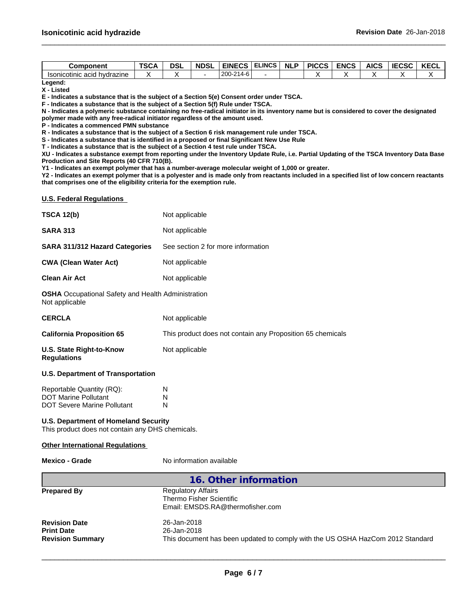| Component                                  | TSC <sub>r</sub> | DSI | <b>NDSL</b> | <b>EINEC<sup>-</sup></b> | <b>ELINCS</b> | <b>NLP</b> | <b>PICCS</b> | <b>ENCS</b> | <b>AICS</b> | <b>IECSC</b> | <b>IZEOI</b><br>NEVL |
|--------------------------------------------|------------------|-----|-------------|--------------------------|---------------|------------|--------------|-------------|-------------|--------------|----------------------|
| 'nic acid hvdrazine<br><b>Isonicotinic</b> |                  |     |             | 200-214-6                |               |            |              |             |             |              |                      |

 $\_$  ,  $\_$  ,  $\_$  ,  $\_$  ,  $\_$  ,  $\_$  ,  $\_$  ,  $\_$  ,  $\_$  ,  $\_$  ,  $\_$  ,  $\_$  ,  $\_$  ,  $\_$  ,  $\_$  ,  $\_$  ,  $\_$  ,  $\_$  ,  $\_$  ,  $\_$  ,  $\_$  ,  $\_$  ,  $\_$  ,  $\_$  ,  $\_$  ,  $\_$  ,  $\_$  ,  $\_$  ,  $\_$  ,  $\_$  ,  $\_$  ,  $\_$  ,  $\_$  ,  $\_$  ,  $\_$  ,  $\_$  ,  $\_$  ,

**Legend: X - Listed**

**E - Indicates a substance that is the subject of a Section 5(e) Consent order under TSCA.**

**F - Indicates a substance that is the subject of a Section 5(f) Rule under TSCA.**

**N - Indicates a polymeric substance containing no free-radical initiator in its inventory name but is considered to cover the designated polymer made with any free-radical initiator regardless of the amount used.**

**P - Indicates a commenced PMN substance**

**R - Indicates a substance that is the subject of a Section 6 risk management rule under TSCA.**

**S - Indicates a substance that is identified in a proposed or final Significant New Use Rule**

**T - Indicates a substance that is the subject of a Section 4 test rule under TSCA.**

**XU - Indicates a substance exempt from reporting under the Inventory Update Rule, i.e. Partial Updating of the TSCA Inventory Data Base Production and Site Reports (40 CFR 710(B).**

**Y1 - Indicates an exempt polymer that has a number-average molecular weight of 1,000 or greater.**

**Y2 - Indicates an exempt polymer that is a polyester and is made only from reactants included in a specified list of low concern reactants that comprises one of the eligibility criteria for the exemption rule.**

#### **U.S. Federal Regulations**

| <b>TSCA 12(b)</b>                                                           | Not applicable                                             |
|-----------------------------------------------------------------------------|------------------------------------------------------------|
| <b>SARA 313</b>                                                             | Not applicable                                             |
| <b>SARA 311/312 Hazard Categories</b>                                       | See section 2 for more information                         |
| <b>CWA (Clean Water Act)</b>                                                | Not applicable                                             |
| <b>Clean Air Act</b>                                                        | Not applicable                                             |
| <b>OSHA</b> Occupational Safety and Health Administration<br>Not applicable |                                                            |
| <b>CERCLA</b>                                                               | Not applicable                                             |
| <b>California Proposition 65</b>                                            | This product does not contain any Proposition 65 chemicals |
| U.S. State Right-to-Know<br><b>Regulations</b>                              | Not applicable                                             |

## **U.S. Department of Transportation**

| Reportable Quantity (RQ):          | N |
|------------------------------------|---|
| <b>DOT Marine Pollutant</b>        | N |
| <b>DOT Severe Marine Pollutant</b> | N |

## **U.S. Department of Homeland Security**

This product does not contain any DHS chemicals.

## **Other International Regulations**

**Mexico - Grade** No information available

|                                                                      | 16. Other information                                                                                        |
|----------------------------------------------------------------------|--------------------------------------------------------------------------------------------------------------|
| <b>Prepared By</b>                                                   | <b>Regulatory Affairs</b><br>Thermo Fisher Scientific<br>Email: EMSDS.RA@thermofisher.com                    |
| <b>Revision Date</b><br><b>Print Date</b><br><b>Revision Summary</b> | 26-Jan-2018<br>26-Jan-2018<br>This document has been updated to comply with the US OSHA HazCom 2012 Standard |
|                                                                      |                                                                                                              |